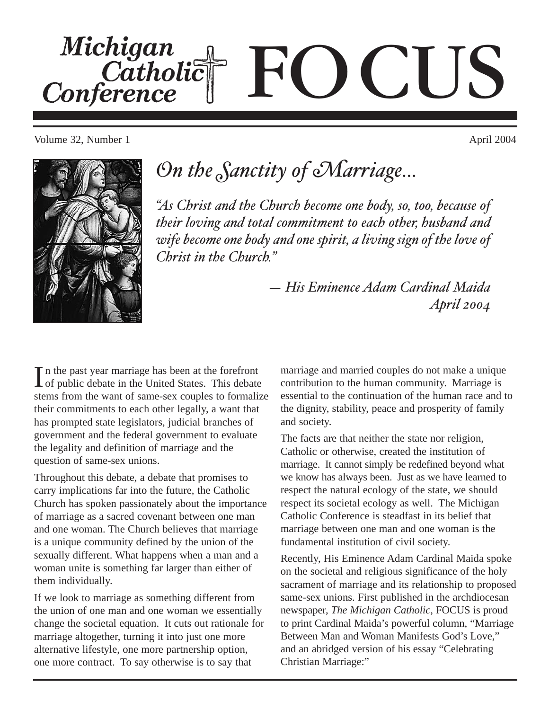Michigan<br>Catholic<br>Conference OCUS

Volume 32, Number 1 April 2004



# *On the Sanctity of Marriage…*

*"As Christ and the Church become one body, so, too, because of their loving and total commitment to each other, husband and wife become one body and one spirit, a living sign of the love of Christ in the Church."*

> *— His Eminence Adam Cardinal Maida April 2004*

In the past year marriage has been at the forefront<br>of public debate in the United States. This debate n the past year marriage has been at the forefront stems from the want of same-sex couples to formalize their commitments to each other legally, a want that has prompted state legislators, judicial branches of government and the federal government to evaluate the legality and definition of marriage and the question of same-sex unions.

Throughout this debate, a debate that promises to carry implications far into the future, the Catholic Church has spoken passionately about the importance of marriage as a sacred covenant between one man and one woman. The Church believes that marriage is a unique community defined by the union of the sexually different. What happens when a man and a woman unite is something far larger than either of them individually.

If we look to marriage as something different from the union of one man and one woman we essentially change the societal equation. It cuts out rationale for marriage altogether, turning it into just one more alternative lifestyle, one more partnership option, one more contract. To say otherwise is to say that

marriage and married couples do not make a unique contribution to the human community. Marriage is essential to the continuation of the human race and to the dignity, stability, peace and prosperity of family and society.

The facts are that neither the state nor religion, Catholic or otherwise, created the institution of marriage. It cannot simply be redefined beyond what we know has always been. Just as we have learned to respect the natural ecology of the state, we should respect its societal ecology as well. The Michigan Catholic Conference is steadfast in its belief that marriage between one man and one woman is the fundamental institution of civil society.

Recently, His Eminence Adam Cardinal Maida spoke on the societal and religious significance of the holy sacrament of marriage and its relationship to proposed same-sex unions. First published in the archdiocesan newspaper, *The Michigan Catholic*, FOCUS is proud to print Cardinal Maida's powerful column, "Marriage Between Man and Woman Manifests God's Love," and an abridged version of his essay "Celebrating Christian Marriage:"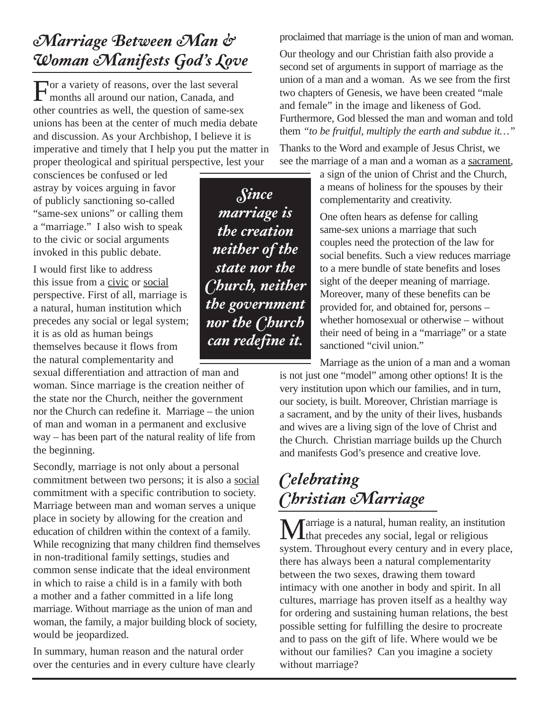#### *Marriage Between Man & Woman Manifests God's Love*

For a variety of reasons, over the last several months all around our nation, Canada, and other countries as well, the question of same-sex unions has been at the center of much media debate and discussion. As your Archbishop, I believe it is imperative and timely that I help you put the matter in proper theological and spiritual perspective, lest your

consciences be confused or led astray by voices arguing in favor of publicly sanctioning so-called "same-sex unions" or calling them a "marriage." I also wish to speak to the civic or social arguments invoked in this public debate.

I would first like to address this issue from a civic or social perspective. First of all, marriage is a natural, human institution which precedes any social or legal system; it is as old as human beings themselves because it flows from the natural complementarity and

sexual differentiation and attraction of man and woman. Since marriage is the creation neither of the state nor the Church, neither the government nor the Church can redefine it. Marriage – the union of man and woman in a permanent and exclusive way – has been part of the natural reality of life from the beginning.

Secondly, marriage is not only about a personal commitment between two persons; it is also a social commitment with a specific contribution to society. Marriage between man and woman serves a unique place in society by allowing for the creation and education of children within the context of a family. While recognizing that many children find themselves in non-traditional family settings, studies and common sense indicate that the ideal environment in which to raise a child is in a family with both a mother and a father committed in a life long marriage. Without marriage as the union of man and woman, the family, a major building block of society, would be jeopardized.

In summary, human reason and the natural order over the centuries and in every culture have clearly

*Since marriage is the creation neither of the state nor the Church, neither the government nor the Church can redefine it.*

proclaimed that marriage is the union of man and woman.

Our theology and our Christian faith also provide a second set of arguments in support of marriage as the union of a man and a woman. As we see from the first two chapters of Genesis, we have been created "male and female" in the image and likeness of God. Furthermore, God blessed the man and woman and told them *"to be fruitful, multiply the earth and subdue it…"*

Thanks to the Word and example of Jesus Christ, we see the marriage of a man and a woman as a sacrament,

> a sign of the union of Christ and the Church, a means of holiness for the spouses by their complementarity and creativity.

One often hears as defense for calling same-sex unions a marriage that such couples need the protection of the law for social benefits. Such a view reduces marriage to a mere bundle of state benefits and loses sight of the deeper meaning of marriage. Moreover, many of these benefits can be provided for, and obtained for, persons – whether homosexual or otherwise – without their need of being in a "marriage" or a state sanctioned "civil union."

Marriage as the union of a man and a woman is not just one "model" among other options! It is the very institution upon which our families, and in turn, our society, is built. Moreover, Christian marriage is a sacrament, and by the unity of their lives, husbands and wives are a living sign of the love of Christ and the Church. Christian marriage builds up the Church and manifests God's presence and creative love.

### *Celebrating Christian Marriage*

Marriage is a natural, human reality, an institution that precedes any social, legal or religious system. Throughout every century and in every place, there has always been a natural complementarity between the two sexes, drawing them toward intimacy with one another in body and spirit. In all cultures, marriage has proven itself as a healthy way for ordering and sustaining human relations, the best possible setting for fulfilling the desire to procreate and to pass on the gift of life. Where would we be without our families? Can you imagine a society without marriage?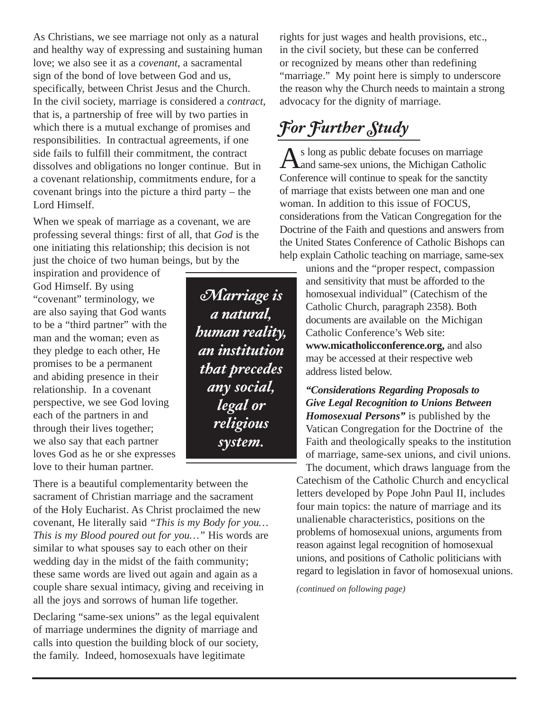As Christians, we see marriage not only as a natural and healthy way of expressing and sustaining human love; we also see it as a *covenant*, a sacramental sign of the bond of love between God and us, specifically, between Christ Jesus and the Church. In the civil society, marriage is considered a *contract*, that is, a partnership of free will by two parties in which there is a mutual exchange of promises and responsibilities. In contractual agreements, if one side fails to fulfill their commitment, the contract dissolves and obligations no longer continue. But in a covenant relationship, commitments endure, for a covenant brings into the picture a third party – the Lord Himself.

When we speak of marriage as a covenant, we are professing several things: first of all, that *God* is the one initiating this relationship; this decision is not just the choice of two human beings, but by the

inspiration and providence of God Himself. By using "covenant" terminology, we are also saying that God wants to be a "third partner" with the man and the woman; even as they pledge to each other, He promises to be a permanent and abiding presence in their relationship. In a covenant perspective, we see God loving each of the partners in and through their lives together; we also say that each partner loves God as he or she expresses love to their human partner.

There is a beautiful complementarity between the sacrament of Christian marriage and the sacrament of the Holy Eucharist. As Christ proclaimed the new covenant, He literally said *"This is my Body for you… This is my Blood poured out for you…"* His words are similar to what spouses say to each other on their wedding day in the midst of the faith community; these same words are lived out again and again as a couple share sexual intimacy, giving and receiving in all the joys and sorrows of human life together.

Declaring "same-sex unions" as the legal equivalent of marriage undermines the dignity of marriage and calls into question the building block of our society, the family. Indeed, homosexuals have legitimate

*Marriage is a natural, human reality, an institution that precedes any social, legal or religious system.*

rights for just wages and health provisions, etc., in the civil society, but these can be conferred or recognized by means other than redefining "marriage." My point here is simply to underscore" the reason why the Church needs to maintain a strong advocacy for the dignity of marriage.

## *For Further Study*

As long as public debate focuses on marriage<br>
and same-sex unions, the Michigan Catholic Conference will continue to speak for the sanctity of marriage that exists between one man and one woman. In addition to this issue of FOCUS, considerations from the Vatican Congregation for the Doctrine of the Faith and questions and answers from the United States Conference of Catholic Bishops can help explain Catholic teaching on marriage, same-sex

unions and the "proper respect, compassion and sensitivity that must be afforded to the homosexual individual" (Catechism of the Catholic Church, paragraph 2358). Both documents are available on the Michigan Catholic Conference's Web site: **www.micatholicconference.org,** and also may be accessed at their respective web address listed below.

*"Considerations Regarding Proposals to Give Legal Recognition to Unions Between Homosexual Persons"* is published by the Vatican Congregation for the Doctrine of the Faith and theologically speaks to the institution of marriage, same-sex unions, and civil unions. The document, which draws language from the Catechism of the Catholic Church and encyclical letters developed by Pope John Paul II, includes four main topics: the nature of marriage and its

unalienable characteristics, positions on the problems of homosexual unions, arguments from reason against legal recognition of homosexual unions, and positions of Catholic politicians with regard to legislation in favor of homosexual unions.

*(continued on following page)*